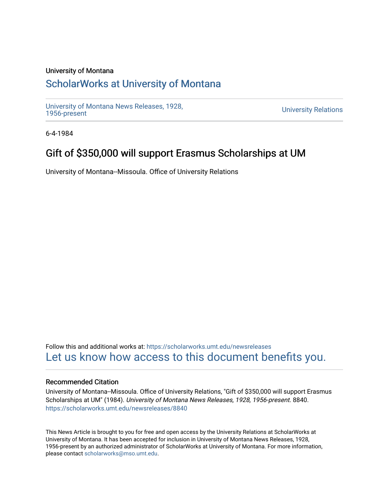#### University of Montana

# [ScholarWorks at University of Montana](https://scholarworks.umt.edu/)

[University of Montana News Releases, 1928,](https://scholarworks.umt.edu/newsreleases) 

**University Relations** 

6-4-1984

# Gift of \$350,000 will support Erasmus Scholarships at UM

University of Montana--Missoula. Office of University Relations

Follow this and additional works at: [https://scholarworks.umt.edu/newsreleases](https://scholarworks.umt.edu/newsreleases?utm_source=scholarworks.umt.edu%2Fnewsreleases%2F8840&utm_medium=PDF&utm_campaign=PDFCoverPages) [Let us know how access to this document benefits you.](https://goo.gl/forms/s2rGfXOLzz71qgsB2) 

#### Recommended Citation

University of Montana--Missoula. Office of University Relations, "Gift of \$350,000 will support Erasmus Scholarships at UM" (1984). University of Montana News Releases, 1928, 1956-present. 8840. [https://scholarworks.umt.edu/newsreleases/8840](https://scholarworks.umt.edu/newsreleases/8840?utm_source=scholarworks.umt.edu%2Fnewsreleases%2F8840&utm_medium=PDF&utm_campaign=PDFCoverPages) 

This News Article is brought to you for free and open access by the University Relations at ScholarWorks at University of Montana. It has been accepted for inclusion in University of Montana News Releases, 1928, 1956-present by an authorized administrator of ScholarWorks at University of Montana. For more information, please contact [scholarworks@mso.umt.edu.](mailto:scholarworks@mso.umt.edu)